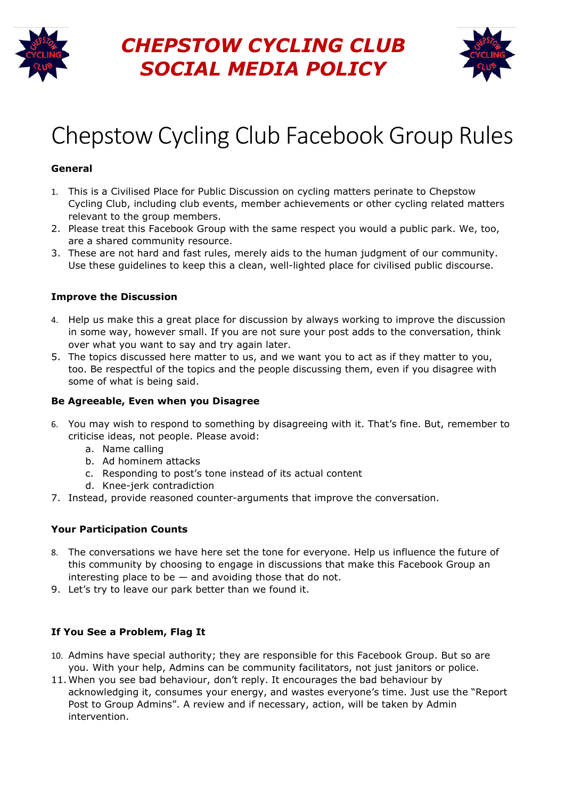

# *CHEPSTOW CYCLING CLUB SOCIAL MEDIA POLICY*



# Chepstow Cycling Club Facebook Group Rules

### **General**

- 1. This is a Civilised Place for Public Discussion on cycling matters perinate to Chepstow Cycling Club, including club events, member achievements or other cycling related matters relevant to the group members.
- 2. Please treat this Facebook Group with the same respect you would a public park. We, too, are a shared community resource.
- 3. These are not hard and fast rules, merely aids to the human judgment of our community. Use these guidelines to keep this a clean, well-lighted place for civilised public discourse.

#### **Improve the Discussion**

- 4. Help us make this a great place for discussion by always working to improve the discussion in some way, however small. If you are not sure your post adds to the conversation, think over what you want to say and try again later.
- 5. The topics discussed here matter to us, and we want you to act as if they matter to you, too. Be respectful of the topics and the people discussing them, even if you disagree with some of what is being said.

#### **Be Agreeable, Even when you Disagree**

- 6. You may wish to respond to something by disagreeing with it. That's fine. But, remember to criticise ideas, not people. Please avoid:
	- a. Name calling
	- b. Ad hominem attacks
	- c. Responding to post's tone instead of its actual content
	- d. Knee-jerk contradiction
- 7. Instead, provide reasoned counter-arguments that improve the conversation.

## **Your Participation Counts**

- 8. The conversations we have here set the tone for everyone. Help us influence the future of this community by choosing to engage in discussions that make this Facebook Group an interesting place to be  $-$  and avoiding those that do not.
- 9. Let's try to leave our park better than we found it.

## **If You See a Problem, Flag It**

- 10. Admins have special authority; they are responsible for this Facebook Group. But so are you. With your help, Admins can be community facilitators, not just janitors or police.
- 11. When you see bad behaviour, don't reply. It encourages the bad behaviour by acknowledging it, consumes your energy, and wastes everyone's time. Just use the "Report Post to Group Admins". A review and if necessary, action, will be taken by Admin intervention.